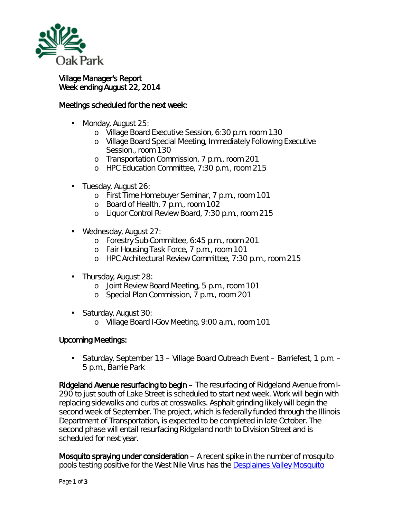

## Village Manager's Report Week ending August 22, 2014

## Meetings scheduled for the next week:

- Monday, August 25:
	- o Village Board Executive Session, 6:30 p.m. room 130
	- o Village Board Special Meeting, Immediately Following Executive Session., room 130
	- o Transportation Commission, 7 p.m., room 201
	- o HPC Education Committee, 7:30 p.m., room 215
- Tuesday, August 26:
	- o First Time Homebuyer Seminar, 7 p.m., room 101
	- o Board of Health, 7 p.m., room 102
	- o Liquor Control Review Board, 7:30 p.m., room 215
- Wednesday, August 27: ä,
	- o Forestry Sub-Committee, 6:45 p.m., room 201
	- o Fair Housing Task Force, 7 p.m., room 101
	- o HPC Architectural Review Committee, 7:30 p.m., room 215
- Thursday, August 28:
	- o Joint Review Board Meeting, 5 p.m., room 101
	- o Special Plan Commission, 7 p.m., room 201
- $\mathbf{r}$ Saturday, August 30:
	- o Village Board I-Gov Meeting, 9:00 a.m., room 101

## Upcoming Meetings:

Saturday, September 13 – Village Board Outreach Event – Barriefest, 1 p.m. – 5 p.m., Barrie Park

Ridgeland Avenue resurfacing to begin – The resurfacing of Ridgeland Avenue from I-290 to just south of Lake Street is scheduled to start next week. Work will begin with replacing sidewalks and curbs at crosswalks. Asphalt grinding likely will begin the second week of September. The project, which is federally funded through the Illinois Department of Transportation, is expected to be completed in late October. The second phase will entail resurfacing Ridgeland north to Division Street and is scheduled for next year.

Mosquito spraying under consideration – A recent spike in the number of mosquito pools testing positive for the West Nile Virus has the [Desplaines Valley Mosquito](http://www.desplainesvalleymad.com/)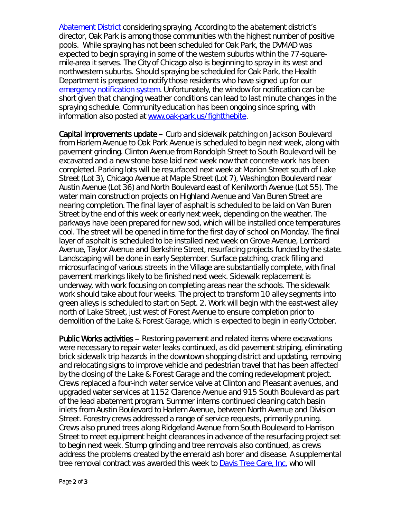[Abatement District](http://www.desplainesvalleymad.com/) considering spraying. According to the abatement district's director, Oak Park is among those communities with the highest number of positive pools. While spraying has not been scheduled for Oak Park, the DVMAD was expected to begin spraying in some of the western suburbs within the 77-squaremile-area it serves. The City of Chicago also is beginning to spray in its west and northwestern suburbs. Should spraying be scheduled for Oak Park, the Health Department is prepared to notify those residents who have signed up for our [emergency notification system.](http://www.oak-park.us/online-services/community-notification-system) Unfortunately, the window for notification can be short given that changing weather conditions can lead to last minute changes in the spraying schedule. Community education has been ongoing since spring, with information also posted at [www.oak-park.us/fightthebite.](http://www.oak-park.us/fightthebite)

Capital improvements update – Curb and sidewalk patching on Jackson Boulevard from Harlem Avenue to Oak Park Avenue is scheduled to begin next week, along with pavement grinding. Clinton Avenue from Randolph Street to South Boulevard will be excavated and a new stone base laid next week now that concrete work has been completed. Parking lots will be resurfaced next week at Marion Street south of Lake Street (Lot 3), Chicago Avenue at Maple Street (Lot 7), Washington Boulevard near Austin Avenue (Lot 36) and North Boulevard east of Kenilworth Avenue (Lot 55). The water main construction projects on Highland Avenue and Van Buren Street are nearing completion. The final layer of asphalt is scheduled to be laid on Van Buren Street by the end of this week or early next week, depending on the weather. The parkways have been prepared for new sod, which will be installed once temperatures cool. The street will be opened in time for the first day of school on Monday. The final layer of asphalt is scheduled to be installed next week on Grove Avenue, Lombard Avenue, Taylor Avenue and Berkshire Street, resurfacing projects funded by the state. Landscaping will be done in early September. Surface patching, crack filling and microsurfacing of various streets in the Village are substantially complete, with final pavement markings likely to be finished next week. Sidewalk replacement is underway, with work focusing on completing areas near the schools. The sidewalk work should take about four weeks. The project to transform 10 alley segments into *green alleys* is scheduled to start on Sept. 2. Work will begin with the east-west alley north of Lake Street, just west of Forest Avenue to ensure completion prior to demolition of the Lake & Forest Garage, which is expected to begin in early October.

Public Works activities – Restoring pavement and related items where excavations were necessary to repair water leaks continued, as did pavement striping, eliminating brick sidewalk trip hazards in the downtown shopping district and updating, removing and relocating signs to improve vehicle and pedestrian travel that has been affected by the closing of the Lake & Forest Garage and the coming redevelopment project. Crews replaced a four-inch water service valve at Clinton and Pleasant avenues, and upgraded water services at 1152 Clarence Avenue and 915 South Boulevard as part of the lead abatement program. Summer interns continued cleaning catch basin inlets from Austin Boulevard to Harlem Avenue, between North Avenue and Division Street. Forestry crews addressed a range of service requests, primarily pruning. Crews also pruned trees along Ridgeland Avenue from South Boulevard to Harrison Street to meet equipment height clearances in advance of the resurfacing project set to begin next week. Stump grinding and tree removals also continued, as crews address the problems created by the emerald ash borer and disease. A supplemental tree removal contract was awarded this week to **Davis Tree Care, Inc.** who will